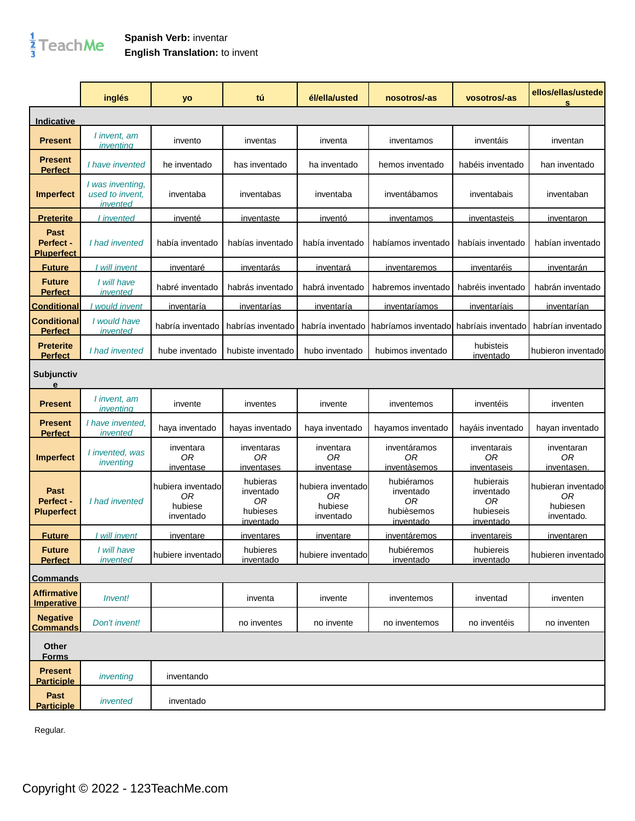

## **Spanish Verb:** inventar **English Translation:** to invent

|                                               | inglés                                          | yo                                              | tú                                                          | él/ella/usted                                               | nosotros/-as                                             | vosotros/-as                                           | ellos/ellas/ustede<br>s                            |
|-----------------------------------------------|-------------------------------------------------|-------------------------------------------------|-------------------------------------------------------------|-------------------------------------------------------------|----------------------------------------------------------|--------------------------------------------------------|----------------------------------------------------|
| Indicative                                    |                                                 |                                                 |                                                             |                                                             |                                                          |                                                        |                                                    |
| <b>Present</b>                                | I invent, am<br>inventing                       | invento                                         | inventas                                                    | inventa                                                     | inventamos                                               | inventáis                                              | inventan                                           |
| Present<br><b>Perfect</b>                     | I have invented                                 | he inventado                                    | has inventado                                               | ha inventado                                                | hemos inventado                                          | habéis inventado                                       | han inventado                                      |
| <b>Imperfect</b>                              | I was inventing,<br>used to invent,<br>invented | inventaba                                       | inventabas                                                  | inventaba                                                   | inventábamos                                             | inventabais                                            | inventaban                                         |
| <b>Preterite</b>                              | <i>invented</i>                                 | inventé                                         | <u>inventaste</u>                                           | <u>inventó</u>                                              | inventamos                                               | inventasteis                                           | inventaron                                         |
| Past<br><b>Perfect -</b><br><b>Pluperfect</b> | I had invented                                  | había inventado                                 | habías inventado                                            | había inventado                                             | habíamos inventado                                       | habíais inventado                                      | habían inventado                                   |
| <b>Future</b>                                 | I will invent                                   | <u>inventaré</u>                                | <b>inventarás</b>                                           | <i>inventará</i>                                            | inventaremos                                             | inventaréis                                            | <u>inventarán</u>                                  |
| <b>Future</b><br><b>Perfect</b>               | I will have<br>invented                         | habré inventado                                 | habrás inventado                                            | habrá inventado                                             | habremos inventado                                       | habréis inventado                                      | habrán inventado                                   |
| <b>Conditional</b>                            | would invent                                    | inventaría                                      | <u>inventarías</u>                                          | inventaría                                                  | <i>inventaríamos</i>                                     | inventaríais                                           | inventarían                                        |
| <b>Conditional</b><br><b>Perfect</b>          | I would have<br>invented                        | habría inventado                                | habrías inventado                                           | habría inventado                                            | habríamos inventado                                      | habríais inventado                                     | habrían inventado                                  |
| <b>Preterite</b><br><b>Perfect</b>            | I had invented                                  | hube inventado                                  | hubiste inventado                                           | hubo inventado                                              | hubimos inventado                                        | hubisteis<br>inventado                                 | hubieron inventado                                 |
| Subjunctiv<br>е                               |                                                 |                                                 |                                                             |                                                             |                                                          |                                                        |                                                    |
| <b>Present</b>                                | I invent, am<br>inventina                       | invente                                         | inventes                                                    | invente                                                     | inventemos                                               | inventéis                                              | inventen                                           |
| <b>Present</b><br><b>Perfect</b>              | I have invented.<br>invented                    | haya inventado                                  | hayas inventado                                             | haya inventado                                              | hayamos inventado                                        | hayáis inventado                                       | hayan inventado                                    |
| <b>Imperfect</b>                              | I invented, was<br>inventing                    | inventara<br>0R<br><i>inventase</i>             | inventaras<br>ОR<br>inventases                              | inventara<br>0R<br>inventase                                | inventáramos<br>0R<br>inventàsemos                       | inventarais<br>0R<br>inventaseis                       | inventaran<br>0R<br>inventasen.                    |
| Past<br>Perfect -<br><b>Pluperfect</b>        | I had invented                                  | hubiera inventado<br>0R<br>hubiese<br>inventado | hubieras<br>inventado<br>0R<br>hubieses<br><u>inventado</u> | hubiera inventado<br>0 <sub>R</sub><br>hubiese<br>inventado | hubiéramos<br>inventado<br>0R<br>hubièsemos<br>inventado | hubierais<br>inventado<br>0R<br>hubieseis<br>inventado | hubieran inventado<br>0R<br>hubiesen<br>inventado. |
| <b>Future</b>                                 | will invent                                     | inventare                                       | inventares                                                  | inventare                                                   | inventáremos                                             | inventareis                                            | inventaren                                         |
| <b>Future</b><br><b>Perfect</b>               | I will have<br>invented                         | hubiere inventado                               | hubieres<br>inventado                                       | hubiere inventado                                           | hubiéremos<br>inventado                                  | hubiereis<br>inventado                                 | hubieren inventado                                 |
| <b>Commands</b>                               |                                                 |                                                 |                                                             |                                                             |                                                          |                                                        |                                                    |
| <b>Affirmative</b><br><b>Imperative</b>       | <i>Invent!</i>                                  |                                                 | inventa                                                     | invente                                                     | inventemos                                               | inventad                                               | inventen                                           |
| <b>Negative</b><br><b>Commands</b>            | Don't invent!                                   |                                                 | no inventes                                                 | no invente                                                  | no inventemos                                            | no inventéis                                           | no inventen                                        |
| Other<br><b>Forms</b>                         |                                                 |                                                 |                                                             |                                                             |                                                          |                                                        |                                                    |
| <b>Present</b><br><b>Participle</b>           | inventing                                       | inventando                                      |                                                             |                                                             |                                                          |                                                        |                                                    |
| Past<br><b>Participle</b>                     | invented                                        | inventado                                       |                                                             |                                                             |                                                          |                                                        |                                                    |

Regular.